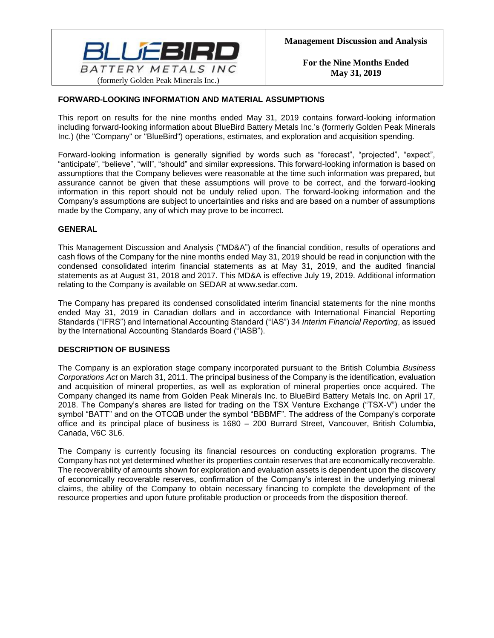

# **FORWARD-LOOKING INFORMATION AND MATERIAL ASSUMPTIONS**

This report on results for the nine months ended May 31, 2019 contains forward-looking information including forward-looking information about BlueBird Battery Metals Inc.'s (formerly Golden Peak Minerals Inc.) (the "Company" or "BlueBird") operations, estimates, and exploration and acquisition spending.

Forward-looking information is generally signified by words such as "forecast", "projected", "expect", "anticipate", "believe", "will", "should" and similar expressions. This forward-looking information is based on assumptions that the Company believes were reasonable at the time such information was prepared, but assurance cannot be given that these assumptions will prove to be correct, and the forward-looking information in this report should not be unduly relied upon. The forward-looking information and the Company's assumptions are subject to uncertainties and risks and are based on a number of assumptions made by the Company, any of which may prove to be incorrect.

# **GENERAL**

This Management Discussion and Analysis ("MD&A") of the financial condition, results of operations and cash flows of the Company for the nine months ended May 31, 2019 should be read in conjunction with the condensed consolidated interim financial statements as at May 31, 2019, and the audited financial statements as at August 31, 2018 and 2017. This MD&A is effective July 19, 2019. Additional information relating to the Company is available on SEDAR at www.sedar.com.

The Company has prepared its condensed consolidated interim financial statements for the nine months ended May 31, 2019 in Canadian dollars and in accordance with International Financial Reporting Standards ("IFRS") and International Accounting Standard ("IAS") 34 *Interim Financial Reporting*, as issued by the International Accounting Standards Board ("IASB").

# **DESCRIPTION OF BUSINESS**

The Company is an exploration stage company incorporated pursuant to the British Columbia *Business Corporations Act* on March 31, 2011. The principal business of the Company is the identification, evaluation and acquisition of mineral properties, as well as exploration of mineral properties once acquired. The Company changed its name from Golden Peak Minerals Inc. to BlueBird Battery Metals Inc. on April 17, 2018. The Company's shares are listed for trading on the TSX Venture Exchange ("TSX-V") under the symbol "BATT" and on the OTCQB under the symbol "BBBMF". The address of the Company's corporate office and its principal place of business is 1680 – 200 Burrard Street, Vancouver, British Columbia, Canada, V6C 3L6.

The Company is currently focusing its financial resources on conducting exploration programs. The Company has not yet determined whether its properties contain reserves that are economically recoverable. The recoverability of amounts shown for exploration and evaluation assets is dependent upon the discovery of economically recoverable reserves, confirmation of the Company's interest in the underlying mineral claims, the ability of the Company to obtain necessary financing to complete the development of the resource properties and upon future profitable production or proceeds from the disposition thereof.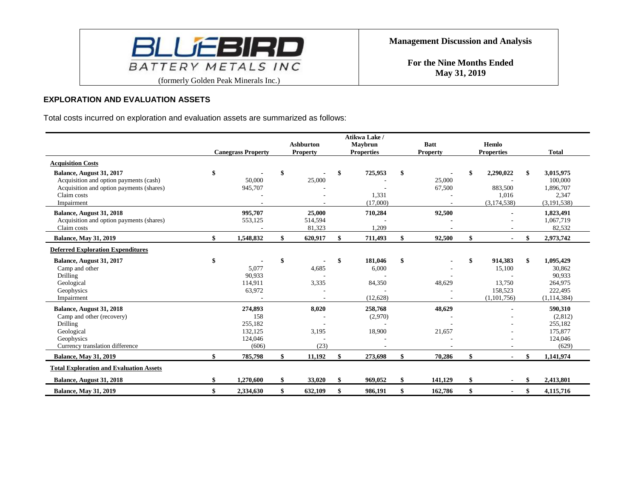

# **EXPLORATION AND EVALUATION ASSETS**

Total costs incurred on exploration and evaluation assets are summarized as follows:

|                                                                                                                                             |                                                          | <b>Ashburton</b>            | Atikwa Lake /<br>Maybrun                     | <b>Batt</b>      | Hemlo                                                       |                                                                            |
|---------------------------------------------------------------------------------------------------------------------------------------------|----------------------------------------------------------|-----------------------------|----------------------------------------------|------------------|-------------------------------------------------------------|----------------------------------------------------------------------------|
|                                                                                                                                             | <b>Canegrass Property</b>                                | <b>Property</b>             | <b>Properties</b>                            | <b>Property</b>  | <b>Properties</b>                                           | <b>Total</b>                                                               |
| <b>Acquisition Costs</b>                                                                                                                    |                                                          |                             |                                              |                  |                                                             |                                                                            |
| Balance, August 31, 2017<br>Acquisition and option payments (cash)<br>Acquisition and option payments (shares)<br>Claim costs<br>Impairment | \$<br>50,000<br>945,707                                  | \$<br>25,000                | \$<br>725,953<br>1,331<br>(17,000)           | 25,000<br>67,500 | \$<br>2,290,022<br>883,500<br>1,016<br>(3, 174, 538)        | 3,015,975<br>100,000<br>1,896,707<br>2,347<br>(3, 191, 538)                |
| Balance, August 31, 2018<br>Acquisition and option payments (shares)<br>Claim costs                                                         | 995,707<br>553,125                                       | 25,000<br>514,594<br>81,323 | 710,284<br>1,209                             | 92,500           |                                                             | 1,823,491<br>1,067,719<br>82,532                                           |
| <b>Balance, May 31, 2019</b>                                                                                                                | \$<br>1,548,832                                          | \$<br>620,917               | \$<br>711,493                                | 92,500           | \$                                                          | \$<br>2,973,742                                                            |
| <b>Deferred Exploration Expenditures</b>                                                                                                    |                                                          |                             |                                              |                  |                                                             |                                                                            |
| Balance, August 31, 2017<br>Camp and other<br>Drilling<br>Geological<br>Geophysics<br>Impairment                                            | \$<br>5,077<br>90,933<br>114,911<br>63,972               | \$<br>4,685<br>3.335        | \$<br>181,046<br>6,000<br>84,350<br>(12,628) | \$<br>48,629     | \$<br>914,383<br>15,100<br>13,750<br>158,523<br>(1,101,756) | \$<br>1,095,429<br>30,862<br>90,933<br>264,975<br>222,495<br>(1, 114, 384) |
| Balance, August 31, 2018<br>Camp and other (recovery)<br>Drilling<br>Geological<br>Geophysics<br>Currency translation difference            | 274,893<br>158<br>255,182<br>132,125<br>124,046<br>(606) | 8,020<br>3,195<br>(23)      | 258,768<br>(2,970)<br>18,900                 | 48,629<br>21,657 |                                                             | 590,310<br>(2,812)<br>255,182<br>175,877<br>124,046<br>(629)               |
| <b>Balance, May 31, 2019</b>                                                                                                                | 785,798                                                  | \$<br>11,192                | \$<br>273,698                                | 70,286           | \$<br>$\blacksquare$                                        | \$<br>1,141,974                                                            |
| <b>Total Exploration and Evaluation Assets</b>                                                                                              |                                                          |                             |                                              |                  |                                                             |                                                                            |
| Balance, August 31, 2018                                                                                                                    | 1,270,600                                                | \$<br>33,020                | \$<br>969,052                                | 141,129          | \$                                                          | 2,413,801                                                                  |
| <b>Balance, May 31, 2019</b>                                                                                                                | 2,334,630                                                | \$<br>632,109               | \$<br>986,191                                | 162,786          | \$                                                          | \$<br>4,115,716                                                            |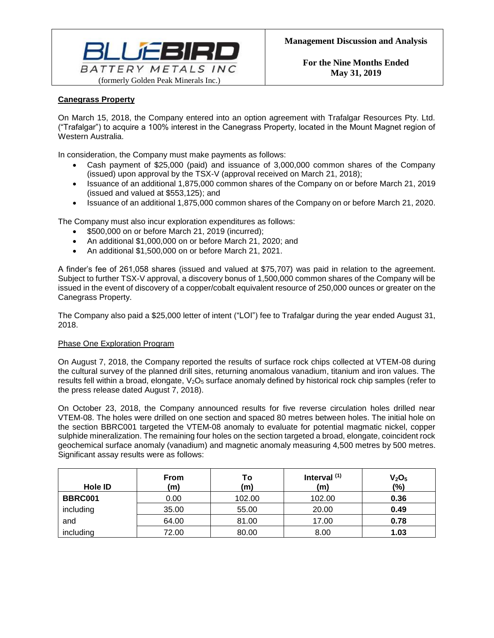

# **Canegrass Property**

On March 15, 2018, the Company entered into an option agreement with Trafalgar Resources Pty. Ltd. ("Trafalgar") to acquire a 100% interest in the Canegrass Property, located in the Mount Magnet region of Western Australia.

In consideration, the Company must make payments as follows:

- Cash payment of \$25,000 (paid) and issuance of 3,000,000 common shares of the Company (issued) upon approval by the TSX-V (approval received on March 21, 2018);
- Issuance of an additional 1,875,000 common shares of the Company on or before March 21, 2019 (issued and valued at \$553,125); and
- Issuance of an additional 1,875,000 common shares of the Company on or before March 21, 2020.

The Company must also incur exploration expenditures as follows:

- \$500,000 on or before March 21, 2019 (incurred);
- An additional \$1,000,000 on or before March 21, 2020; and
- An additional \$1,500,000 on or before March 21, 2021.

A finder's fee of 261,058 shares (issued and valued at \$75,707) was paid in relation to the agreement. Subject to further TSX-V approval, a discovery bonus of 1,500,000 common shares of the Company will be issued in the event of discovery of a copper/cobalt equivalent resource of 250,000 ounces or greater on the Canegrass Property.

The Company also paid a \$25,000 letter of intent ("LOI") fee to Trafalgar during the year ended August 31, 2018.

# Phase One Exploration Program

On August 7, 2018, the Company reported the results of surface rock chips collected at VTEM-08 during the cultural survey of the planned drill sites, returning anomalous vanadium, titanium and iron values. The results fell within a broad, elongate, V<sub>2</sub>O<sub>5</sub> surface anomaly defined by historical rock chip samples (refer to the press release dated August 7, 2018).

On October 23, 2018, the Company announced results for five reverse circulation holes drilled near VTEM-08. The holes were drilled on one section and spaced 80 metres between holes. The initial hole on the section BBRC001 targeted the VTEM-08 anomaly to evaluate for potential magmatic nickel, copper sulphide mineralization. The remaining four holes on the section targeted a broad, elongate, coincident rock geochemical surface anomaly (vanadium) and magnetic anomaly measuring 4,500 metres by 500 metres. Significant assay results were as follows:

| Hole ID        | <b>From</b><br>(m) | Τo<br>(m) | Interval $(1)$<br>(m) | V <sub>2</sub> O <sub>5</sub><br>(%) |
|----------------|--------------------|-----------|-----------------------|--------------------------------------|
| <b>BBRC001</b> | 0.00               | 102.00    | 102.00                | 0.36                                 |
| including      | 35.00              | 55.00     | 20.00                 | 0.49                                 |
| and            | 64.00              | 81.00     | 17.00                 | 0.78                                 |
| including      | 72.00              | 80.00     | 8.00                  | 1.03                                 |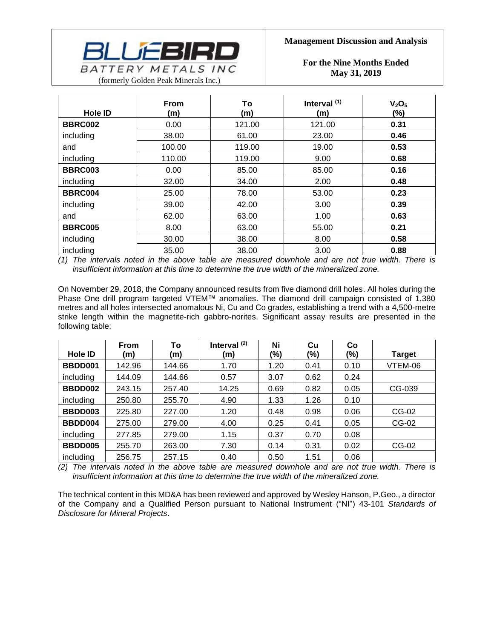

| <b>Hole ID</b> | <b>From</b><br>(m) | To<br>(m) | Interval <sup>(1)</sup><br>(m) | V <sub>2</sub> O <sub>5</sub><br>$(\% )$ |
|----------------|--------------------|-----------|--------------------------------|------------------------------------------|
| <b>BBRC002</b> | 0.00               | 121.00    | 121.00                         | 0.31                                     |
| including      | 38.00              | 61.00     | 23.00                          | 0.46                                     |
| and            | 100.00             | 119.00    | 19.00                          | 0.53                                     |
| including      | 110.00             | 119.00    | 9.00                           | 0.68                                     |
| <b>BBRC003</b> | 0.00               | 85.00     | 85.00                          | 0.16                                     |
| including      | 32.00              | 34.00     | 2.00                           | 0.48                                     |
| <b>BBRC004</b> | 25.00              | 78.00     | 53.00                          | 0.23                                     |
| including      | 39.00              | 42.00     | 3.00                           | 0.39                                     |
| and            | 62.00              | 63.00     | 1.00                           | 0.63                                     |
| <b>BBRC005</b> | 8.00               | 63.00     | 55.00                          | 0.21                                     |
| including      | 30.00              | 38.00     | 8.00                           | 0.58                                     |
| including      | 35.00              | 38.00     | 3.00                           | 0.88                                     |

*(1) The intervals noted in the above table are measured downhole and are not true width. There is insufficient information at this time to determine the true width of the mineralized zone.*

On November 29, 2018, the Company announced results from five diamond drill holes. All holes during the Phase One drill program targeted VTEM™ anomalies. The diamond drill campaign consisted of 1,380 metres and all holes intersected anomalous Ni, Cu and Co grades, establishing a trend with a 4,500-metre strike length within the magnetite-rich gabbro-norites. Significant assay results are presented in the following table:

|                | <b>From</b> | To     | Interval $(2)$ | Ni   | Cu   | Co   |               |
|----------------|-------------|--------|----------------|------|------|------|---------------|
| Hole <b>ID</b> | (m)         | (m)    | (m)            | (%)  | (%)  | (%)  | <b>Target</b> |
| BBDD001        | 142.96      | 144.66 | 1.70           | 1.20 | 0.41 | 0.10 | VTEM-06       |
| including      | 144.09      | 144.66 | 0.57           | 3.07 | 0.62 | 0.24 |               |
| BBDD002        | 243.15      | 257.40 | 14.25          | 0.69 | 0.82 | 0.05 | CG-039        |
| including      | 250.80      | 255.70 | 4.90           | 1.33 | 1.26 | 0.10 |               |
| BBDD003        | 225.80      | 227.00 | 1.20           | 0.48 | 0.98 | 0.06 | CG-02         |
| BBDD004        | 275.00      | 279.00 | 4.00           | 0.25 | 0.41 | 0.05 | CG-02         |
| including      | 277.85      | 279.00 | 1.15           | 0.37 | 0.70 | 0.08 |               |
| BBDD005        | 255.70      | 263.00 | 7.30           | 0.14 | 0.31 | 0.02 | CG-02         |
| including      | 256.75      | 257.15 | 0.40           | 0.50 | 1.51 | 0.06 |               |

*(2) The intervals noted in the above table are measured downhole and are not true width. There is insufficient information at this time to determine the true width of the mineralized zone.*

The technical content in this MD&A has been reviewed and approved by Wesley Hanson, P.Geo., a director of the Company and a Qualified Person pursuant to National Instrument ("NI") 43-101 *Standards of Disclosure for Mineral Projects*.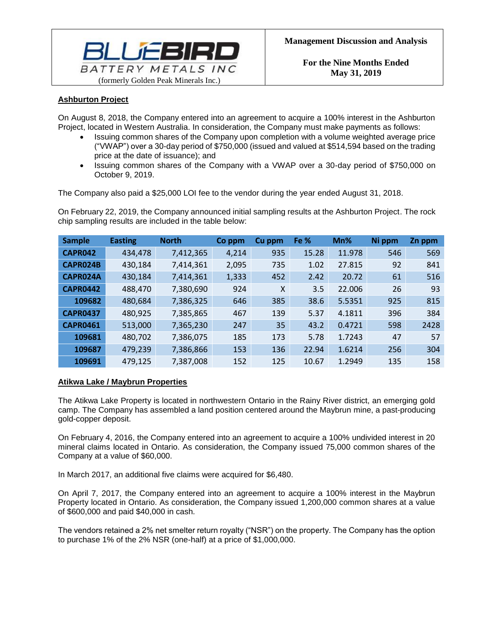

# **Ashburton Project**

On August 8, 2018, the Company entered into an agreement to acquire a 100% interest in the Ashburton Project, located in Western Australia. In consideration, the Company must make payments as follows:

- Issuing common shares of the Company upon completion with a volume weighted average price ("VWAP") over a 30-day period of \$750,000 (issued and valued at \$514,594 based on the trading price at the date of issuance); and
- Issuing common shares of the Company with a VWAP over a 30-day period of \$750,000 on October 9, 2019.

The Company also paid a \$25,000 LOI fee to the vendor during the year ended August 31, 2018.

On February 22, 2019, the Company announced initial sampling results at the Ashburton Project. The rock chip sampling results are included in the table below:

| <b>Sample</b>   | <b>Easting</b> | <b>North</b> | Co ppm | Cu ppm | Fe %  | Mn%    | Ni ppm | Zn ppm |
|-----------------|----------------|--------------|--------|--------|-------|--------|--------|--------|
| CAPR042         | 434,478        | 7,412,365    | 4,214  | 935    | 15.28 | 11.978 | 546    | 569    |
| CAPR024B        | 430,184        | 7,414,361    | 2,095  | 735    | 1.02  | 27.815 | 92     | 841    |
| CAPR024A        | 430,184        | 7,414,361    | 1,333  | 452    | 2.42  | 20.72  | 61     | 516    |
| <b>CAPR0442</b> | 488,470        | 7,380,690    | 924    | X      | 3.5   | 22.006 | 26     | 93     |
| 109682          | 480,684        | 7,386,325    | 646    | 385    | 38.6  | 5.5351 | 925    | 815    |
| <b>CAPR0437</b> | 480,925        | 7,385,865    | 467    | 139    | 5.37  | 4.1811 | 396    | 384    |
| <b>CAPR0461</b> | 513,000        | 7,365,230    | 247    | 35     | 43.2  | 0.4721 | 598    | 2428   |
| 109681          | 480,702        | 7,386,075    | 185    | 173    | 5.78  | 1.7243 | 47     | 57     |
| 109687          | 479,239        | 7,386,866    | 153    | 136    | 22.94 | 1.6214 | 256    | 304    |
| 109691          | 479,125        | 7,387,008    | 152    | 125    | 10.67 | 1.2949 | 135    | 158    |

# **Atikwa Lake / Maybrun Properties**

The Atikwa Lake Property is located in northwestern Ontario in the Rainy River district, an emerging gold camp. The Company has assembled a land position centered around the Maybrun mine, a past-producing gold-copper deposit.

On February 4, 2016, the Company entered into an agreement to acquire a 100% undivided interest in 20 mineral claims located in Ontario. As consideration, the Company issued 75,000 common shares of the Company at a value of \$60,000.

In March 2017, an additional five claims were acquired for \$6,480.

On April 7, 2017, the Company entered into an agreement to acquire a 100% interest in the Maybrun Property located in Ontario. As consideration, the Company issued 1,200,000 common shares at a value of \$600,000 and paid \$40,000 in cash.

The vendors retained a 2% net smelter return royalty ("NSR") on the property. The Company has the option to purchase 1% of the 2% NSR (one-half) at a price of \$1,000,000.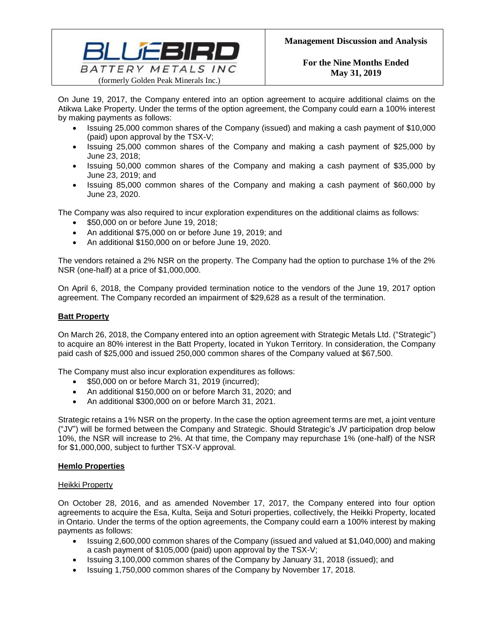

On June 19, 2017, the Company entered into an option agreement to acquire additional claims on the Atikwa Lake Property. Under the terms of the option agreement, the Company could earn a 100% interest by making payments as follows:

- Issuing 25,000 common shares of the Company (issued) and making a cash payment of \$10,000 (paid) upon approval by the TSX-V;
- Issuing 25,000 common shares of the Company and making a cash payment of \$25,000 by June 23, 2018;
- Issuing 50,000 common shares of the Company and making a cash payment of \$35,000 by June 23, 2019; and
- Issuing 85,000 common shares of the Company and making a cash payment of \$60,000 by June 23, 2020.

The Company was also required to incur exploration expenditures on the additional claims as follows:

- \$50,000 on or before June 19, 2018;
- An additional \$75,000 on or before June 19, 2019; and
- An additional \$150,000 on or before June 19, 2020.

The vendors retained a 2% NSR on the property. The Company had the option to purchase 1% of the 2% NSR (one-half) at a price of \$1,000,000.

On April 6, 2018, the Company provided termination notice to the vendors of the June 19, 2017 option agreement. The Company recorded an impairment of \$29,628 as a result of the termination.

# **Batt Property**

On March 26, 2018, the Company entered into an option agreement with Strategic Metals Ltd. ("Strategic") to acquire an 80% interest in the Batt Property, located in Yukon Territory. In consideration, the Company paid cash of \$25,000 and issued 250,000 common shares of the Company valued at \$67,500.

The Company must also incur exploration expenditures as follows:

- \$50,000 on or before March 31, 2019 (incurred);
- An additional \$150,000 on or before March 31, 2020; and
- An additional \$300,000 on or before March 31, 2021.

Strategic retains a 1% NSR on the property. In the case the option agreement terms are met, a joint venture ("JV") will be formed between the Company and Strategic. Should Strategic's JV participation drop below 10%, the NSR will increase to 2%. At that time, the Company may repurchase 1% (one-half) of the NSR for \$1,000,000, subject to further TSX-V approval.

# **Hemlo Properties**

# Heikki Property

On October 28, 2016, and as amended November 17, 2017, the Company entered into four option agreements to acquire the Esa, Kulta, Seija and Soturi properties, collectively, the Heikki Property, located in Ontario. Under the terms of the option agreements, the Company could earn a 100% interest by making payments as follows:

- Issuing 2,600,000 common shares of the Company (issued and valued at \$1,040,000) and making a cash payment of \$105,000 (paid) upon approval by the TSX-V;
- Issuing 3,100,000 common shares of the Company by January 31, 2018 (issued); and
- Issuing 1,750,000 common shares of the Company by November 17, 2018.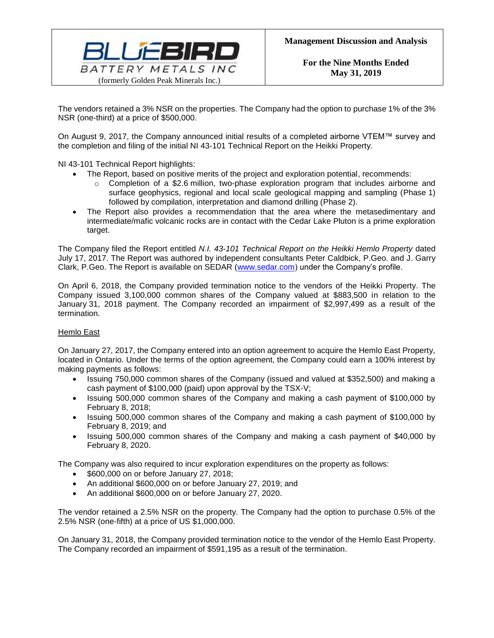

The vendors retained a 3% NSR on the properties. The Company had the option to purchase 1% of the 3% NSR (one-third) at a price of \$500,000.

On August 9, 2017, the Company announced initial results of a completed airborne VTEM™ survey and the completion and filing of the initial NI 43-101 Technical Report on the Heikki Property.

NI 43-101 Technical Report highlights:

- The Report, based on positive merits of the project and exploration potential, recommends:
	- $\circ$  Completion of a \$2.6 million, two-phase exploration program that includes airborne and surface geophysics, regional and local scale geological mapping and sampling (Phase 1) followed by compilation, interpretation and diamond drilling (Phase 2).
- The Report also provides a recommendation that the area where the metasedimentary and intermediate/mafic volcanic rocks are in contact with the Cedar Lake Pluton is a prime exploration target.

The Company filed the Report entitled *N.I. 43-101 Technical Report on the Heikki Hemlo Property* dated July 17, 2017. The Report was authored by independent consultants Peter Caldbick, P.Geo. and J. Garry Clark, P.Geo. The Report is available on SEDAR [\(www.sedar.com\)](http://www.sedar.com/) under the Company's profile.

On April 6, 2018, the Company provided termination notice to the vendors of the Heikki Property. The Company issued 3,100,000 common shares of the Company valued at \$883,500 in relation to the January 31, 2018 payment. The Company recorded an impairment of \$2,997,499 as a result of the termination.

# Hemlo East

On January 27, 2017, the Company entered into an option agreement to acquire the Hemlo East Property, located in Ontario. Under the terms of the option agreement, the Company could earn a 100% interest by making payments as follows:

- Issuing 750,000 common shares of the Company (issued and valued at \$352,500) and making a cash payment of \$100,000 (paid) upon approval by the TSX-V;
- Issuing 500,000 common shares of the Company and making a cash payment of \$100,000 by February 8, 2018;
- Issuing 500,000 common shares of the Company and making a cash payment of \$100,000 by February 8, 2019; and
- Issuing 500,000 common shares of the Company and making a cash payment of \$40,000 by February 8, 2020.

The Company was also required to incur exploration expenditures on the property as follows:

- \$600,000 on or before January 27, 2018;
- An additional \$600,000 on or before January 27, 2019; and
- An additional \$600,000 on or before January 27, 2020.

The vendor retained a 2.5% NSR on the property. The Company had the option to purchase 0.5% of the 2.5% NSR (one-fifth) at a price of US \$1,000,000.

On January 31, 2018, the Company provided termination notice to the vendor of the Hemlo East Property. The Company recorded an impairment of \$591,195 as a result of the termination.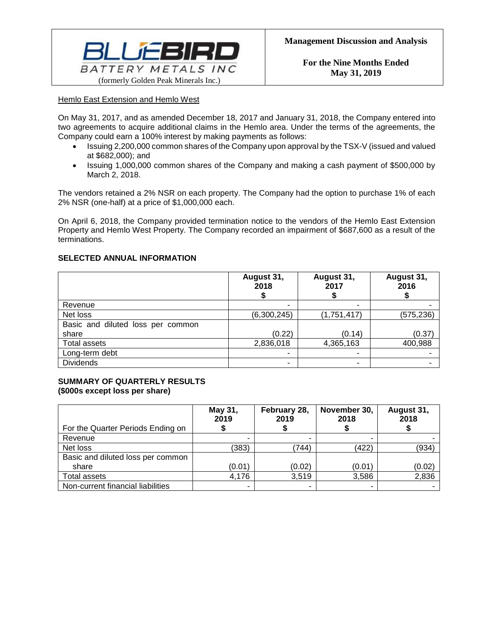

# Hemlo East Extension and Hemlo West

On May 31, 2017, and as amended December 18, 2017 and January 31, 2018, the Company entered into two agreements to acquire additional claims in the Hemlo area. Under the terms of the agreements, the Company could earn a 100% interest by making payments as follows:

- Issuing 2,200,000 common shares of the Company upon approval by the TSX-V (issued and valued at \$682,000); and
- Issuing 1,000,000 common shares of the Company and making a cash payment of \$500,000 by March 2, 2018.

The vendors retained a 2% NSR on each property. The Company had the option to purchase 1% of each 2% NSR (one-half) at a price of \$1,000,000 each.

On April 6, 2018, the Company provided termination notice to the vendors of the Hemlo East Extension Property and Hemlo West Property. The Company recorded an impairment of \$687,600 as a result of the terminations.

# **SELECTED ANNUAL INFORMATION**

|                                   | August 31,<br>2018 | August 31,<br>2017 | August 31,<br>2016 |
|-----------------------------------|--------------------|--------------------|--------------------|
| Revenue                           | -                  | -                  |                    |
| Net loss                          | (6,300,245)        | (1,751,417)        | (575, 236)         |
| Basic and diluted loss per common |                    |                    |                    |
| share                             | (0.22)             | (0.14)             | (0.37)             |
| Total assets                      | 2,836,018          | 4,365,163          | 400,988            |
| Long-term debt                    | -                  |                    |                    |
| <b>Dividends</b>                  | -                  |                    |                    |

# **SUMMARY OF QUARTERLY RESULTS (\$000s except loss per share)**

| For the Quarter Periods Ending on | May 31,<br>2019 | February 28,<br>2019 | November 30,<br>2018 | August 31,<br>2018 |
|-----------------------------------|-----------------|----------------------|----------------------|--------------------|
| Revenue                           |                 |                      |                      |                    |
| Net loss                          | (383)           | 744)                 | (422)                | (934)              |
| Basic and diluted loss per common |                 |                      |                      |                    |
| share                             | (0.01)          | (0.02)               | (0.01)               | (0.02)             |
| Total assets                      | 4,176           | 3,519                | 3,586                | 2,836              |
| Non-current financial liabilities |                 |                      |                      |                    |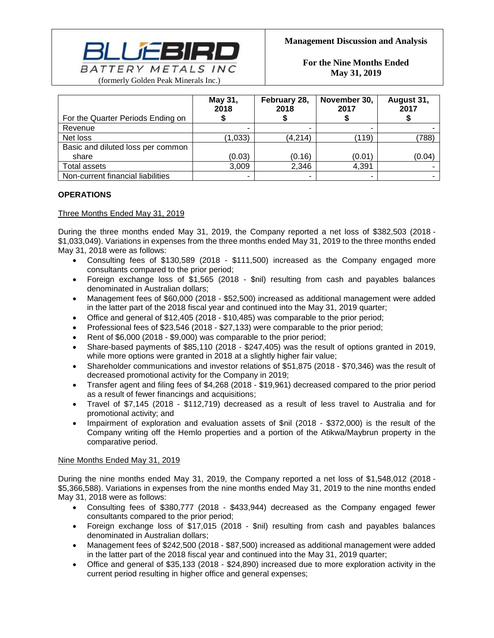

| For the Quarter Periods Ending on | May 31,<br>2018 | February 28,<br>2018 | November 30,<br>2017 | August 31,<br>2017 |
|-----------------------------------|-----------------|----------------------|----------------------|--------------------|
|                                   |                 |                      |                      |                    |
| Revenue                           |                 |                      |                      |                    |
| Net loss                          | (1,033)         | (4,214)              | (119)                | (788)              |
| Basic and diluted loss per common |                 |                      |                      |                    |
| share                             | (0.03)          | (0.16)               | (0.01)               | (0.04)             |
| Total assets                      | 3,009           | 2,346                | 4,391                |                    |
| Non-current financial liabilities |                 |                      |                      |                    |

# **OPERATIONS**

# Three Months Ended May 31, 2019

During the three months ended May 31, 2019, the Company reported a net loss of \$382,503 (2018 - \$1,033,049). Variations in expenses from the three months ended May 31, 2019 to the three months ended May 31, 2018 were as follows:

- Consulting fees of \$130,589 (2018 \$111,500) increased as the Company engaged more consultants compared to the prior period;
- Foreign exchange loss of \$1,565 (2018 \$nil) resulting from cash and payables balances denominated in Australian dollars;
- Management fees of \$60,000 (2018 \$52,500) increased as additional management were added in the latter part of the 2018 fiscal year and continued into the May 31, 2019 quarter;
- Office and general of \$12,405 (2018 \$10,485) was comparable to the prior period;
- Professional fees of \$23,546 (2018 \$27,133) were comparable to the prior period;
- Rent of \$6,000 (2018 \$9,000) was comparable to the prior period;
- Share-based payments of \$85,110 (2018 \$247,405) was the result of options granted in 2019, while more options were granted in 2018 at a slightly higher fair value;
- Shareholder communications and investor relations of \$51,875 (2018 \$70,346) was the result of decreased promotional activity for the Company in 2019;
- Transfer agent and filing fees of \$4,268 (2018 \$19,961) decreased compared to the prior period as a result of fewer financings and acquisitions;
- Travel of \$7,145 (2018 \$112,719) decreased as a result of less travel to Australia and for promotional activity; and
- Impairment of exploration and evaluation assets of \$nil (2018 \$372,000) is the result of the Company writing off the Hemlo properties and a portion of the Atikwa/Maybrun property in the comparative period.

# Nine Months Ended May 31, 2019

During the nine months ended May 31, 2019, the Company reported a net loss of \$1,548,012 (2018 - \$5,366,588). Variations in expenses from the nine months ended May 31, 2019 to the nine months ended May 31, 2018 were as follows:

- Consulting fees of \$380,777 (2018 \$433,944) decreased as the Company engaged fewer consultants compared to the prior period;
- Foreign exchange loss of \$17,015 (2018 \$nil) resulting from cash and payables balances denominated in Australian dollars;
- Management fees of \$242,500 (2018 \$87,500) increased as additional management were added in the latter part of the 2018 fiscal year and continued into the May 31, 2019 quarter;
- Office and general of \$35,133 (2018 \$24,890) increased due to more exploration activity in the current period resulting in higher office and general expenses;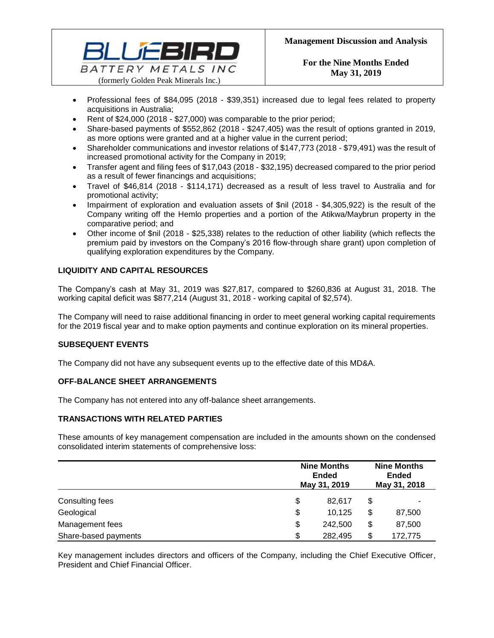

- Professional fees of \$84,095 (2018 \$39,351) increased due to legal fees related to property acquisitions in Australia;
- Rent of \$24,000 (2018 \$27,000) was comparable to the prior period;
- Share-based payments of \$552,862 (2018 \$247,405) was the result of options granted in 2019, as more options were granted and at a higher value in the current period;
- Shareholder communications and investor relations of \$147,773 (2018 \$79,491) was the result of increased promotional activity for the Company in 2019;
- Transfer agent and filing fees of \$17,043 (2018 \$32,195) decreased compared to the prior period as a result of fewer financings and acquisitions;
- Travel of \$46,814 (2018 \$114,171) decreased as a result of less travel to Australia and for promotional activity;
- Impairment of exploration and evaluation assets of \$nil (2018 \$4,305,922) is the result of the Company writing off the Hemlo properties and a portion of the Atikwa/Maybrun property in the comparative period; and
- Other income of \$nil (2018 \$25,338) relates to the reduction of other liability (which reflects the premium paid by investors on the Company's 2016 flow-through share grant) upon completion of qualifying exploration expenditures by the Company.

# **LIQUIDITY AND CAPITAL RESOURCES**

The Company's cash at May 31, 2019 was \$27,817, compared to \$260,836 at August 31, 2018. The working capital deficit was \$877,214 (August 31, 2018 - working capital of \$2,574).

The Company will need to raise additional financing in order to meet general working capital requirements for the 2019 fiscal year and to make option payments and continue exploration on its mineral properties.

# **SUBSEQUENT EVENTS**

The Company did not have any subsequent events up to the effective date of this MD&A.

# **OFF-BALANCE SHEET ARRANGEMENTS**

The Company has not entered into any off-balance sheet arrangements.

# **TRANSACTIONS WITH RELATED PARTIES**

These amounts of key management compensation are included in the amounts shown on the condensed consolidated interim statements of comprehensive loss:

|                      | <b>Nine Months</b><br><b>Ended</b><br>May 31, 2019 | <b>Nine Months</b><br><b>Ended</b><br>May 31, 2018 |
|----------------------|----------------------------------------------------|----------------------------------------------------|
| Consulting fees      | \$<br>82.617                                       | \$                                                 |
| Geological           | \$<br>10.125                                       | \$<br>87,500                                       |
| Management fees      | \$<br>242,500                                      | \$<br>87,500                                       |
| Share-based payments | \$<br>282,495                                      | \$<br>172,775                                      |

Key management includes directors and officers of the Company, including the Chief Executive Officer, President and Chief Financial Officer.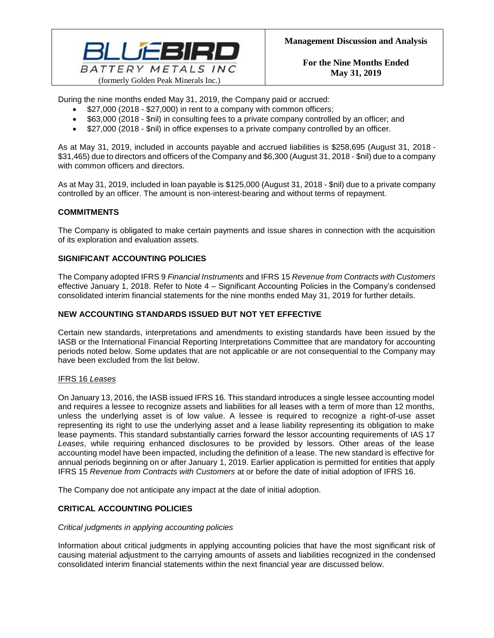

During the nine months ended May 31, 2019, the Company paid or accrued:

- \$27,000 (2018 \$27,000) in rent to a company with common officers;
- \$63,000 (2018 \$nil) in consulting fees to a private company controlled by an officer; and
- \$27,000 (2018 \$nil) in office expenses to a private company controlled by an officer.

As at May 31, 2019, included in accounts payable and accrued liabilities is \$258,695 (August 31, 2018 - \$31,465) due to directors and officers of the Company and \$6,300 (August 31, 2018 - \$nil) due to a company with common officers and directors.

As at May 31, 2019, included in loan payable is \$125,000 (August 31, 2018 - \$nil) due to a private company controlled by an officer. The amount is non-interest-bearing and without terms of repayment.

# **COMMITMENTS**

The Company is obligated to make certain payments and issue shares in connection with the acquisition of its exploration and evaluation assets.

# **SIGNIFICANT ACCOUNTING POLICIES**

The Company adopted IFRS 9 *Financial Instruments* and IFRS 15 *Revenue from Contracts with Customers* effective January 1, 2018. Refer to Note 4 – Significant Accounting Policies in the Company's condensed consolidated interim financial statements for the nine months ended May 31, 2019 for further details.

# **NEW ACCOUNTING STANDARDS ISSUED BUT NOT YET EFFECTIVE**

Certain new standards, interpretations and amendments to existing standards have been issued by the IASB or the International Financial Reporting Interpretations Committee that are mandatory for accounting periods noted below. Some updates that are not applicable or are not consequential to the Company may have been excluded from the list below.

# IFRS 16 *Leases*

On January 13, 2016, the IASB issued IFRS 16. This standard introduces a single lessee accounting model and requires a lessee to recognize assets and liabilities for all leases with a term of more than 12 months, unless the underlying asset is of low value. A lessee is required to recognize a right-of-use asset representing its right to use the underlying asset and a lease liability representing its obligation to make lease payments. This standard substantially carries forward the lessor accounting requirements of IAS 17 *Leases*, while requiring enhanced disclosures to be provided by lessors. Other areas of the lease accounting model have been impacted, including the definition of a lease. The new standard is effective for annual periods beginning on or after January 1, 2019. Earlier application is permitted for entities that apply IFRS 15 *Revenue from Contracts with Customers* at or before the date of initial adoption of IFRS 16.

The Company doe not anticipate any impact at the date of initial adoption.

# **CRITICAL ACCOUNTING POLICIES**

# *Critical judgments in applying accounting policies*

Information about critical judgments in applying accounting policies that have the most significant risk of causing material adjustment to the carrying amounts of assets and liabilities recognized in the condensed consolidated interim financial statements within the next financial year are discussed below.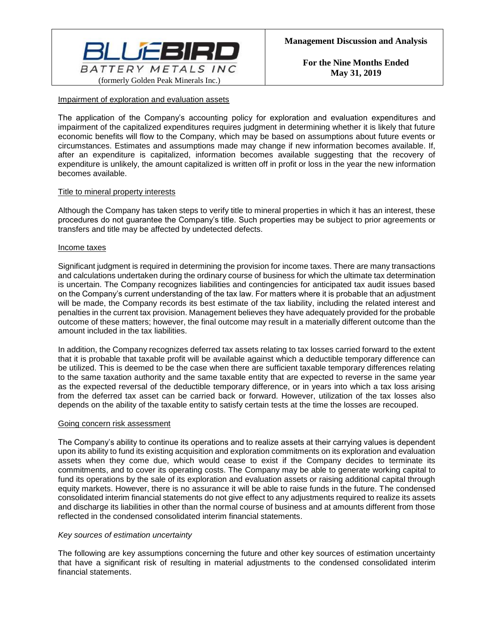

# Impairment of exploration and evaluation assets

The application of the Company's accounting policy for exploration and evaluation expenditures and impairment of the capitalized expenditures requires judgment in determining whether it is likely that future economic benefits will flow to the Company, which may be based on assumptions about future events or circumstances. Estimates and assumptions made may change if new information becomes available. If, after an expenditure is capitalized, information becomes available suggesting that the recovery of expenditure is unlikely, the amount capitalized is written off in profit or loss in the year the new information becomes available.

# Title to mineral property interests

Although the Company has taken steps to verify title to mineral properties in which it has an interest, these procedures do not guarantee the Company's title. Such properties may be subject to prior agreements or transfers and title may be affected by undetected defects.

#### Income taxes

Significant judgment is required in determining the provision for income taxes. There are many transactions and calculations undertaken during the ordinary course of business for which the ultimate tax determination is uncertain. The Company recognizes liabilities and contingencies for anticipated tax audit issues based on the Company's current understanding of the tax law. For matters where it is probable that an adjustment will be made, the Company records its best estimate of the tax liability, including the related interest and penalties in the current tax provision. Management believes they have adequately provided for the probable outcome of these matters; however, the final outcome may result in a materially different outcome than the amount included in the tax liabilities.

In addition, the Company recognizes deferred tax assets relating to tax losses carried forward to the extent that it is probable that taxable profit will be available against which a deductible temporary difference can be utilized. This is deemed to be the case when there are sufficient taxable temporary differences relating to the same taxation authority and the same taxable entity that are expected to reverse in the same year as the expected reversal of the deductible temporary difference, or in years into which a tax loss arising from the deferred tax asset can be carried back or forward. However, utilization of the tax losses also depends on the ability of the taxable entity to satisfy certain tests at the time the losses are recouped.

#### Going concern risk assessment

The Company's ability to continue its operations and to realize assets at their carrying values is dependent upon its ability to fund its existing acquisition and exploration commitments on its exploration and evaluation assets when they come due, which would cease to exist if the Company decides to terminate its commitments, and to cover its operating costs. The Company may be able to generate working capital to fund its operations by the sale of its exploration and evaluation assets or raising additional capital through equity markets. However, there is no assurance it will be able to raise funds in the future. The condensed consolidated interim financial statements do not give effect to any adjustments required to realize its assets and discharge its liabilities in other than the normal course of business and at amounts different from those reflected in the condensed consolidated interim financial statements.

#### *Key sources of estimation uncertainty*

The following are key assumptions concerning the future and other key sources of estimation uncertainty that have a significant risk of resulting in material adjustments to the condensed consolidated interim financial statements.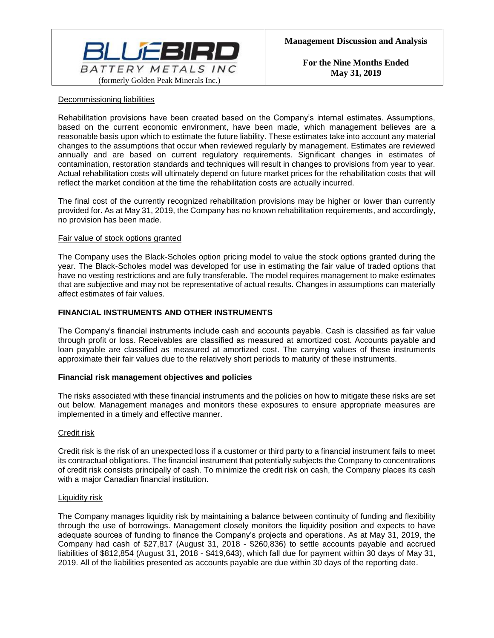

# Decommissioning liabilities

Rehabilitation provisions have been created based on the Company's internal estimates. Assumptions, based on the current economic environment, have been made, which management believes are a reasonable basis upon which to estimate the future liability. These estimates take into account any material changes to the assumptions that occur when reviewed regularly by management. Estimates are reviewed annually and are based on current regulatory requirements. Significant changes in estimates of contamination, restoration standards and techniques will result in changes to provisions from year to year. Actual rehabilitation costs will ultimately depend on future market prices for the rehabilitation costs that will reflect the market condition at the time the rehabilitation costs are actually incurred.

The final cost of the currently recognized rehabilitation provisions may be higher or lower than currently provided for. As at May 31, 2019, the Company has no known rehabilitation requirements, and accordingly, no provision has been made.

# Fair value of stock options granted

The Company uses the Black-Scholes option pricing model to value the stock options granted during the year. The Black-Scholes model was developed for use in estimating the fair value of traded options that have no vesting restrictions and are fully transferable. The model requires management to make estimates that are subjective and may not be representative of actual results. Changes in assumptions can materially affect estimates of fair values.

# **FINANCIAL INSTRUMENTS AND OTHER INSTRUMENTS**

The Company's financial instruments include cash and accounts payable. Cash is classified as fair value through profit or loss. Receivables are classified as measured at amortized cost. Accounts payable and loan payable are classified as measured at amortized cost. The carrying values of these instruments approximate their fair values due to the relatively short periods to maturity of these instruments.

# **Financial risk management objectives and policies**

The risks associated with these financial instruments and the policies on how to mitigate these risks are set out below. Management manages and monitors these exposures to ensure appropriate measures are implemented in a timely and effective manner.

# Credit risk

Credit risk is the risk of an unexpected loss if a customer or third party to a financial instrument fails to meet its contractual obligations. The financial instrument that potentially subjects the Company to concentrations of credit risk consists principally of cash. To minimize the credit risk on cash, the Company places its cash with a major Canadian financial institution.

# Liquidity risk

The Company manages liquidity risk by maintaining a balance between continuity of funding and flexibility through the use of borrowings. Management closely monitors the liquidity position and expects to have adequate sources of funding to finance the Company's projects and operations. As at May 31, 2019, the Company had cash of \$27,817 (August 31, 2018 - \$260,836) to settle accounts payable and accrued liabilities of \$812,854 (August 31, 2018 - \$419,643), which fall due for payment within 30 days of May 31, 2019. All of the liabilities presented as accounts payable are due within 30 days of the reporting date.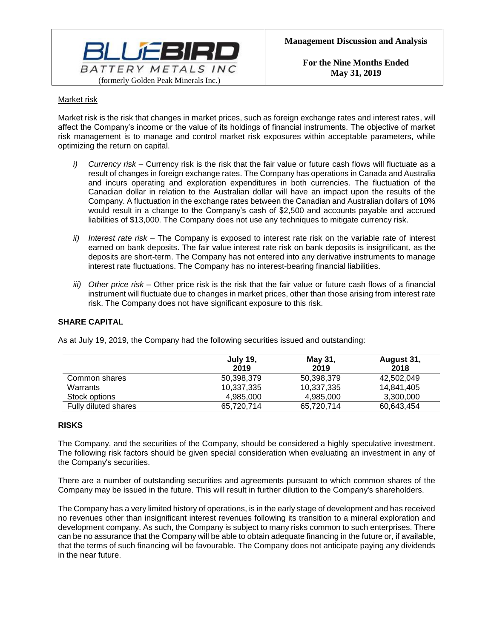

# Market risk

Market risk is the risk that changes in market prices, such as foreign exchange rates and interest rates, will affect the Company's income or the value of its holdings of financial instruments. The objective of market risk management is to manage and control market risk exposures within acceptable parameters, while optimizing the return on capital.

- *i) Currency risk –* Currency risk is the risk that the fair value or future cash flows will fluctuate as a result of changes in foreign exchange rates. The Company has operations in Canada and Australia and incurs operating and exploration expenditures in both currencies. The fluctuation of the Canadian dollar in relation to the Australian dollar will have an impact upon the results of the Company. A fluctuation in the exchange rates between the Canadian and Australian dollars of 10% would result in a change to the Company's cash of \$2,500 and accounts payable and accrued liabilities of \$13,000. The Company does not use any techniques to mitigate currency risk.
- *ii) Interest rate risk –* The Company is exposed to interest rate risk on the variable rate of interest earned on bank deposits. The fair value interest rate risk on bank deposits is insignificant, as the deposits are short-term. The Company has not entered into any derivative instruments to manage interest rate fluctuations. The Company has no interest-bearing financial liabilities.
- *iii) Other price risk –* Other price risk is the risk that the fair value or future cash flows of a financial instrument will fluctuate due to changes in market prices, other than those arising from interest rate risk. The Company does not have significant exposure to this risk.

# **SHARE CAPITAL**

|                      | <b>July 19,</b><br>2019 | May 31,<br>2019 | August 31,<br>2018 |
|----------------------|-------------------------|-----------------|--------------------|
| Common shares        | 50,398,379              | 50,398,379      | 42,502,049         |
| Warrants             | 10,337,335              | 10,337,335      | 14.841.405         |
| Stock options        | 4.985.000               | 4.985.000       | 3,300,000          |
| Fully diluted shares | 65,720,714              | 65,720,714      | 60,643,454         |

As at July 19, 2019, the Company had the following securities issued and outstanding:

# **RISKS**

The Company, and the securities of the Company, should be considered a highly speculative investment. The following risk factors should be given special consideration when evaluating an investment in any of the Company's securities.

There are a number of outstanding securities and agreements pursuant to which common shares of the Company may be issued in the future. This will result in further dilution to the Company's shareholders.

The Company has a very limited history of operations, is in the early stage of development and has received no revenues other than insignificant interest revenues following its transition to a mineral exploration and development company. As such, the Company is subject to many risks common to such enterprises. There can be no assurance that the Company will be able to obtain adequate financing in the future or, if available, that the terms of such financing will be favourable. The Company does not anticipate paying any dividends in the near future.